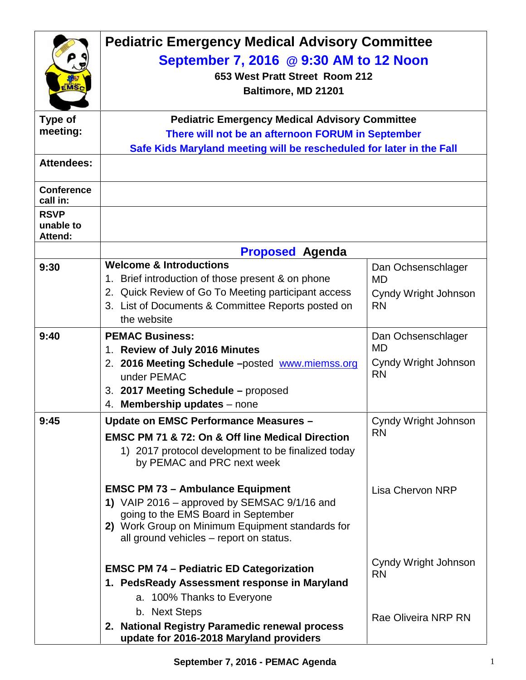| <b>MSc</b>                                 | <b>Pediatric Emergency Medical Advisory Committee</b><br>September 7, 2016 @ 9:30 AM to 12 Noon<br>653 West Pratt Street Room 212<br>Baltimore, MD 21201                                                                      |                                                                      |  |
|--------------------------------------------|-------------------------------------------------------------------------------------------------------------------------------------------------------------------------------------------------------------------------------|----------------------------------------------------------------------|--|
| <b>Type of</b>                             | <b>Pediatric Emergency Medical Advisory Committee</b>                                                                                                                                                                         |                                                                      |  |
| meeting:                                   | There will not be an afternoon FORUM in September                                                                                                                                                                             |                                                                      |  |
| <b>Attendees:</b>                          | Safe Kids Maryland meeting will be rescheduled for later in the Fall                                                                                                                                                          |                                                                      |  |
|                                            |                                                                                                                                                                                                                               |                                                                      |  |
| <b>Conference</b><br>call in:              |                                                                                                                                                                                                                               |                                                                      |  |
| <b>RSVP</b><br>unable to<br><b>Attend:</b> |                                                                                                                                                                                                                               |                                                                      |  |
|                                            | <b>Proposed Agenda</b>                                                                                                                                                                                                        |                                                                      |  |
| 9:30                                       | <b>Welcome &amp; Introductions</b><br>1. Brief introduction of those present & on phone<br>2. Quick Review of Go To Meeting participant access<br>3. List of Documents & Committee Reports posted on<br>the website           | Dan Ochsenschlager<br>MD<br>Cyndy Wright Johnson<br><b>RN</b>        |  |
| 9:40                                       | <b>PEMAC Business:</b><br>1. Review of July 2016 Minutes<br>2. 2016 Meeting Schedule -posted www.miemss.org<br>under PEMAC<br>3. 2017 Meeting Schedule - proposed<br>4. Membership updates - none                             | Dan Ochsenschlager<br><b>MD</b><br>Cyndy Wright Johnson<br><b>RN</b> |  |
| 9:45                                       | Update on EMSC Performance Measures -<br><b>EMSC PM 71 &amp; 72: On &amp; Off line Medical Direction</b><br>1) 2017 protocol development to be finalized today<br>by PEMAC and PRC next week                                  | Cyndy Wright Johnson<br><b>RN</b>                                    |  |
|                                            | <b>EMSC PM 73 - Ambulance Equipment</b><br>1) VAIP 2016 – approved by SEMSAC 9/1/16 and<br>going to the EMS Board in September<br>2) Work Group on Minimum Equipment standards for<br>all ground vehicles – report on status. | <b>Lisa Chervon NRP</b>                                              |  |
|                                            | <b>EMSC PM 74 - Pediatric ED Categorization</b><br>1. PedsReady Assessment response in Maryland<br>a. 100% Thanks to Everyone<br>b. Next Steps                                                                                | Cyndy Wright Johnson<br><b>RN</b><br><b>Rae Oliveira NRP RN</b>      |  |
|                                            | 2. National Registry Paramedic renewal process<br>update for 2016-2018 Maryland providers                                                                                                                                     |                                                                      |  |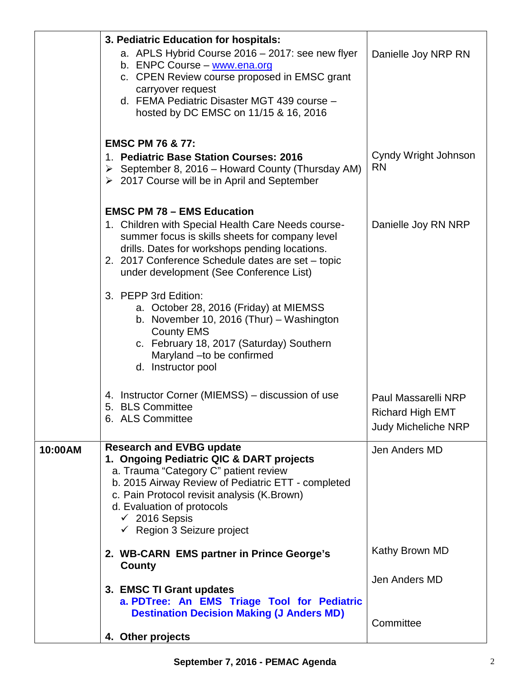|         | 3. Pediatric Education for hospitals:<br>a. APLS Hybrid Course 2016 - 2017: see new flyer<br>b. ENPC Course - www.ena.org<br>c. CPEN Review course proposed in EMSC grant<br>carryover request<br>d. FEMA Pediatric Disaster MGT 439 course -<br>hosted by DC EMSC on 11/15 & 16, 2016                                        | Danielle Joy NRP RN                                                          |
|---------|-------------------------------------------------------------------------------------------------------------------------------------------------------------------------------------------------------------------------------------------------------------------------------------------------------------------------------|------------------------------------------------------------------------------|
|         | <b>EMSC PM 76 &amp; 77:</b><br>1. Pediatric Base Station Courses: 2016<br>$\triangleright$ September 8, 2016 – Howard County (Thursday AM)<br>$\geq$ 2017 Course will be in April and September                                                                                                                               | Cyndy Wright Johnson<br><b>RN</b>                                            |
|         | <b>EMSC PM 78 - EMS Education</b><br>1. Children with Special Health Care Needs course-<br>summer focus is skills sheets for company level<br>drills. Dates for workshops pending locations.<br>2. 2017 Conference Schedule dates are set - topic<br>under development (See Conference List)                                  | Danielle Joy RN NRP                                                          |
|         | 3. PEPP 3rd Edition:<br>a. October 28, 2016 (Friday) at MIEMSS<br>b. November 10, 2016 (Thur) - Washington<br><b>County EMS</b><br>c. February 18, 2017 (Saturday) Southern<br>Maryland - to be confirmed<br>d. Instructor pool                                                                                               |                                                                              |
|         | 4. Instructor Corner (MIEMSS) – discussion of use<br>5. BLS Committee<br>6. ALS Committee                                                                                                                                                                                                                                     | Paul Massarelli NRP<br><b>Richard High EMT</b><br><b>Judy Micheliche NRP</b> |
| 10:00AM | <b>Research and EVBG update</b><br>1. Ongoing Pediatric QIC & DART projects<br>a. Trauma "Category C" patient review<br>b. 2015 Airway Review of Pediatric ETT - completed<br>c. Pain Protocol revisit analysis (K. Brown)<br>d. Evaluation of protocols<br>$\checkmark$ 2016 Sepsis<br>$\checkmark$ Region 3 Seizure project | Jen Anders MD                                                                |
|         | 2. WB-CARN EMS partner in Prince George's<br>County                                                                                                                                                                                                                                                                           | Kathy Brown MD                                                               |
|         | 3. EMSC TI Grant updates<br>a. PDTree: An EMS Triage Tool for Pediatric<br><b>Destination Decision Making (J Anders MD)</b>                                                                                                                                                                                                   | Jen Anders MD                                                                |
|         | 4. Other projects                                                                                                                                                                                                                                                                                                             | Committee                                                                    |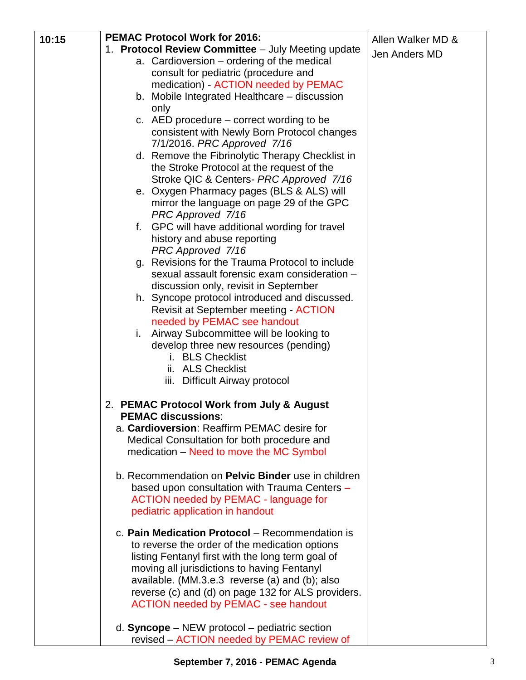|       | <b>PEMAC Protocol Work for 2016:</b>                                                                                                                                                                                                                                                                                                                                                                                                                                                                                                                                       |                                    |
|-------|----------------------------------------------------------------------------------------------------------------------------------------------------------------------------------------------------------------------------------------------------------------------------------------------------------------------------------------------------------------------------------------------------------------------------------------------------------------------------------------------------------------------------------------------------------------------------|------------------------------------|
| 10:15 | 1. Protocol Review Committee - July Meeting update<br>a. Cardioversion – ordering of the medical<br>consult for pediatric (procedure and<br>medication) - ACTION needed by PEMAC<br>b. Mobile Integrated Healthcare – discussion<br>only<br>c. AED procedure $-$ correct wording to be<br>consistent with Newly Born Protocol changes<br>7/1/2016. PRC Approved 7/16                                                                                                                                                                                                       | Allen Walker MD &<br>Jen Anders MD |
|       | d. Remove the Fibrinolytic Therapy Checklist in<br>the Stroke Protocol at the request of the<br>Stroke QIC & Centers- PRC Approved 7/16<br>e. Oxygen Pharmacy pages (BLS & ALS) will<br>mirror the language on page 29 of the GPC                                                                                                                                                                                                                                                                                                                                          |                                    |
|       | PRC Approved 7/16<br>f. GPC will have additional wording for travel<br>history and abuse reporting<br>PRC Approved 7/16<br>Revisions for the Trauma Protocol to include<br>g.<br>sexual assault forensic exam consideration -<br>discussion only, revisit in September<br>h. Syncope protocol introduced and discussed.<br><b>Revisit at September meeting - ACTION</b><br>needed by PEMAC see handout<br>Airway Subcommittee will be looking to<br>ı.<br>develop three new resources (pending)<br>i. BLS Checklist<br>ii. ALS Checklist<br>iii. Difficult Airway protocol |                                    |
|       | 2. PEMAC Protocol Work from July & August<br><b>PEMAC discussions:</b><br>a. Cardioversion: Reaffirm PEMAC desire for<br>Medical Consultation for both procedure and<br>medication – Need to move the MC Symbol<br>b. Recommendation on Pelvic Binder use in children<br>based upon consultation with Trauma Centers -<br><b>ACTION needed by PEMAC - language for</b><br>pediatric application in handout                                                                                                                                                                 |                                    |
|       | c. Pain Medication Protocol – Recommendation is<br>to reverse the order of the medication options<br>listing Fentanyl first with the long term goal of<br>moving all jurisdictions to having Fentanyl<br>available. (MM.3.e.3 reverse (a) and (b); also<br>reverse (c) and (d) on page 132 for ALS providers.<br><b>ACTION needed by PEMAC - see handout</b><br>d. Syncope $-$ NEW protocol $-$ pediatric section<br>revised – ACTION needed by PEMAC review of                                                                                                            |                                    |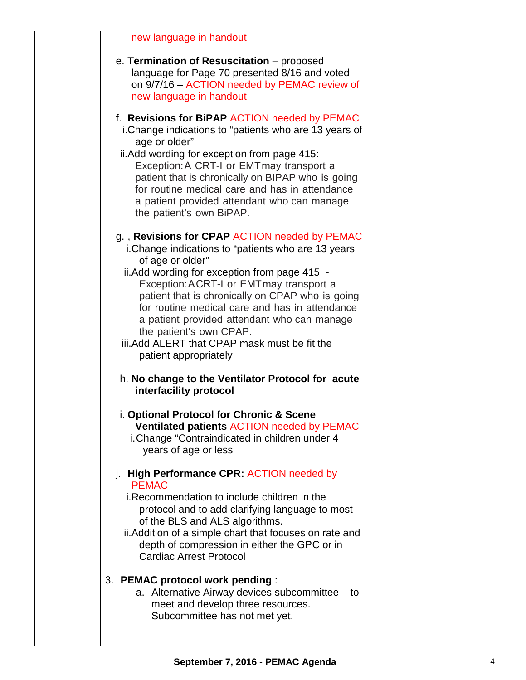| new language in handout                                                                                                                                                                                                                                                                                                                                                                                                                                                         |  |
|---------------------------------------------------------------------------------------------------------------------------------------------------------------------------------------------------------------------------------------------------------------------------------------------------------------------------------------------------------------------------------------------------------------------------------------------------------------------------------|--|
| e. Termination of Resuscitation - proposed<br>language for Page 70 presented 8/16 and voted<br>on 9/7/16 - ACTION needed by PEMAC review of<br>new language in handout                                                                                                                                                                                                                                                                                                          |  |
| f. Revisions for BiPAP ACTION needed by PEMAC<br>i. Change indications to "patients who are 13 years of<br>age or older"<br>ii. Add wording for exception from page 415:<br>Exception: A CRT-I or EMT may transport a<br>patient that is chronically on BIPAP who is going<br>for routine medical care and has in attendance<br>a patient provided attendant who can manage<br>the patient's own BiPAP.                                                                         |  |
| g., Revisions for CPAP ACTION needed by PEMAC<br>i. Change indications to "patients who are 13 years<br>of age or older"<br>ii. Add wording for exception from page 415 -<br>Exception: ACRT-I or EMT may transport a<br>patient that is chronically on CPAP who is going<br>for routine medical care and has in attendance<br>a patient provided attendant who can manage<br>the patient's own CPAP.<br>iii. Add ALERT that CPAP mask must be fit the<br>patient appropriately |  |
| h. No change to the Ventilator Protocol for acute<br>interfacility protocol                                                                                                                                                                                                                                                                                                                                                                                                     |  |
| i. Optional Protocol for Chronic & Scene<br><b>Ventilated patients ACTION needed by PEMAC</b><br>i. Change "Contraindicated in children under 4<br>years of age or less                                                                                                                                                                                                                                                                                                         |  |
| j. High Performance CPR: ACTION needed by<br><b>PEMAC</b><br>i. Recommendation to include children in the<br>protocol and to add clarifying language to most<br>of the BLS and ALS algorithms.<br>ii. Addition of a simple chart that focuses on rate and<br>depth of compression in either the GPC or in<br><b>Cardiac Arrest Protocol</b>                                                                                                                                     |  |
| 3. PEMAC protocol work pending:<br>a. Alternative Airway devices subcommittee $-$ to<br>meet and develop three resources.<br>Subcommittee has not met yet.                                                                                                                                                                                                                                                                                                                      |  |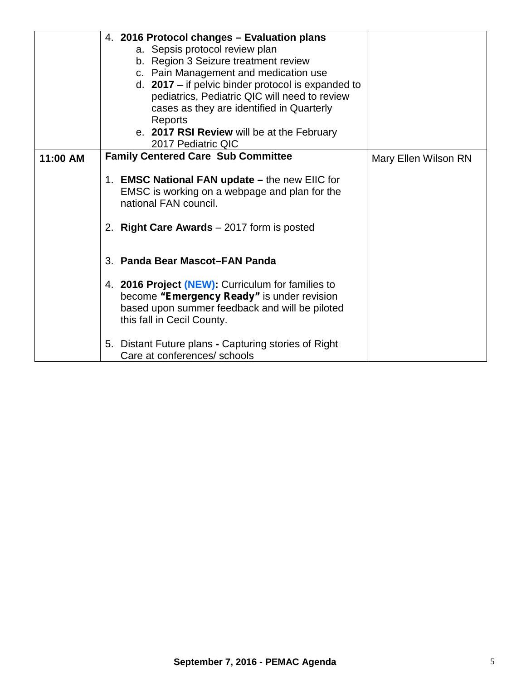|          | 4. 2016 Protocol changes - Evaluation plans<br>a. Sepsis protocol review plan<br>b. Region 3 Seizure treatment review<br>c. Pain Management and medication use<br>d. $2017 -$ if pelvic binder protocol is expanded to<br>pediatrics, Pediatric QIC will need to review<br>cases as they are identified in Quarterly<br>Reports<br>e. 2017 RSI Review will be at the February<br>2017 Pediatric QIC |                      |
|----------|-----------------------------------------------------------------------------------------------------------------------------------------------------------------------------------------------------------------------------------------------------------------------------------------------------------------------------------------------------------------------------------------------------|----------------------|
| 11:00 AM | <b>Family Centered Care Sub Committee</b>                                                                                                                                                                                                                                                                                                                                                           | Mary Ellen Wilson RN |
|          | 1. EMSC National FAN update - the new EIIC for<br>EMSC is working on a webpage and plan for the<br>national FAN council.<br>2. Right Care Awards $-2017$ form is posted                                                                                                                                                                                                                             |                      |
|          | 3. Panda Bear Mascot-FAN Panda                                                                                                                                                                                                                                                                                                                                                                      |                      |
|          | 4. 2016 Project (NEW): Curriculum for families to<br>become "Emergency Ready" is under revision<br>based upon summer feedback and will be piloted<br>this fall in Cecil County.                                                                                                                                                                                                                     |                      |
|          | 5. Distant Future plans - Capturing stories of Right<br>Care at conferences/ schools                                                                                                                                                                                                                                                                                                                |                      |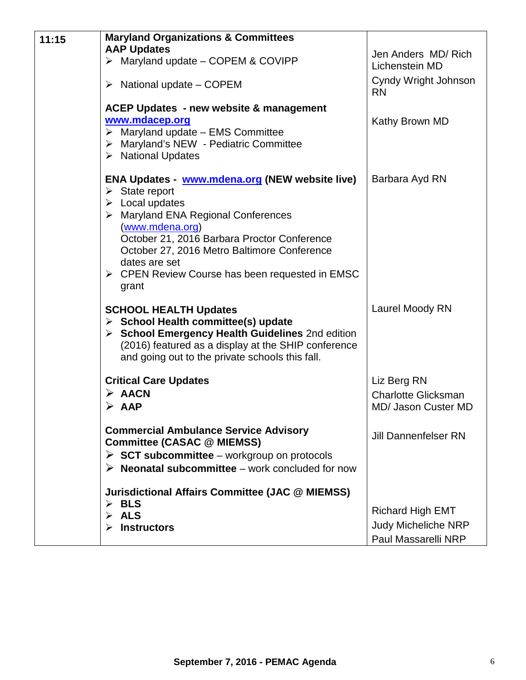| 11:15 | <b>Maryland Organizations &amp; Committees</b>                                                                                                                                                                                                                                                                                                                               |                                                                              |
|-------|------------------------------------------------------------------------------------------------------------------------------------------------------------------------------------------------------------------------------------------------------------------------------------------------------------------------------------------------------------------------------|------------------------------------------------------------------------------|
|       | <b>AAP Updates</b><br>> Maryland update - COPEM & COVIPP                                                                                                                                                                                                                                                                                                                     | Jen Anders MD/Rich<br>Lichenstein MD                                         |
|       | National update - COPEM<br>➤                                                                                                                                                                                                                                                                                                                                                 | Cyndy Wright Johnson<br><b>RN</b>                                            |
|       | <b>ACEP Updates - new website &amp; management</b><br>www.mdacep.org<br>$\triangleright$ Maryland update - EMS Committee<br>> Maryland's NEW - Pediatric Committee<br>$\triangleright$ National Updates                                                                                                                                                                      | Kathy Brown MD                                                               |
|       | <b>ENA Updates - www.mdena.org (NEW website live)</b><br>$\triangleright$ State report<br>$\triangleright$ Local updates<br>> Maryland ENA Regional Conferences<br>(www.mdena.org)<br>October 21, 2016 Barbara Proctor Conference<br>October 27, 2016 Metro Baltimore Conference<br>dates are set<br>$\triangleright$ CPEN Review Course has been requested in EMSC<br>grant | Barbara Ayd RN                                                               |
|       | <b>SCHOOL HEALTH Updates</b><br>$\triangleright$ School Health committee(s) update<br>> School Emergency Health Guidelines 2nd edition<br>(2016) featured as a display at the SHIP conference<br>and going out to the private schools this fall.                                                                                                                             | Laurel Moody RN                                                              |
|       | <b>Critical Care Updates</b><br>$\triangleright$ AACN<br>$\triangleright$ AAP                                                                                                                                                                                                                                                                                                | Liz Berg RN<br><b>Charlotte Glicksman</b><br><b>MD/ Jason Custer MD</b>      |
|       | <b>Commercial Ambulance Service Advisory</b><br><b>Committee (CASAC @ MIEMSS)</b><br>$\triangleright$ SCT subcommittee – workgroup on protocols<br>$\triangleright$ Neonatal subcommittee – work concluded for now                                                                                                                                                           | <b>Jill Dannenfelser RN</b>                                                  |
|       | <b>Jurisdictional Affairs Committee (JAC @ MIEMSS)</b><br>$\triangleright$ BLS<br><b>ALS</b><br><b>Instructors</b>                                                                                                                                                                                                                                                           | <b>Richard High EMT</b><br><b>Judy Micheliche NRP</b><br>Paul Massarelli NRP |